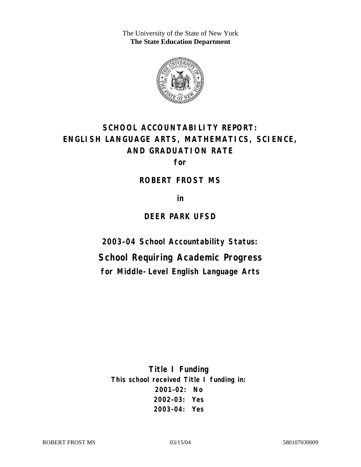The University of the State of New York **The State Education Department** 



# **SCHOOL ACCOUNTABILITY REPORT: ENGLISH LANGUAGE ARTS, MATHEMATICS, SCIENCE, AND GRADUATION RATE**

**for** 

#### **ROBERT FROST MS**

**in** 

#### **DEER PARK UFSD**

**2003–04 School Accountability Status:** 

**School Requiring Academic Progress for Middle-Level English Language Arts**

**Title I Funding This school received Title I funding in: 2001–02: No 2002–03: Yes 2003–04: Yes**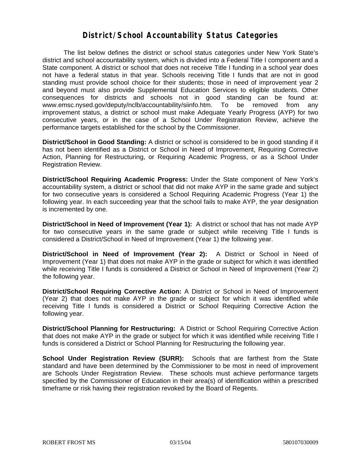### **District/School Accountability Status Categories**

The list below defines the district or school status categories under New York State's district and school accountability system, which is divided into a Federal Title I component and a State component. A district or school that does not receive Title I funding in a school year does not have a federal status in that year. Schools receiving Title I funds that are not in good standing must provide school choice for their students; those in need of improvement year 2 and beyond must also provide Supplemental Education Services to eligible students. Other consequences for districts and schools not in good standing can be found at: www.emsc.nysed.gov/deputy/nclb/accountability/siinfo.htm. To be removed from any improvement status, a district or school must make Adequate Yearly Progress (AYP) for two consecutive years, or in the case of a School Under Registration Review, achieve the performance targets established for the school by the Commissioner.

**District/School in Good Standing:** A district or school is considered to be in good standing if it has not been identified as a District or School in Need of Improvement, Requiring Corrective Action, Planning for Restructuring, or Requiring Academic Progress, or as a School Under Registration Review.

**District/School Requiring Academic Progress:** Under the State component of New York's accountability system, a district or school that did not make AYP in the same grade and subject for two consecutive years is considered a School Requiring Academic Progress (Year 1) the following year. In each succeeding year that the school fails to make AYP, the year designation is incremented by one.

**District/School in Need of Improvement (Year 1):** A district or school that has not made AYP for two consecutive years in the same grade or subject while receiving Title I funds is considered a District/School in Need of Improvement (Year 1) the following year.

**District/School in Need of Improvement (Year 2):** A District or School in Need of Improvement (Year 1) that does not make AYP in the grade or subject for which it was identified while receiving Title I funds is considered a District or School in Need of Improvement (Year 2) the following year.

**District/School Requiring Corrective Action:** A District or School in Need of Improvement (Year 2) that does not make AYP in the grade or subject for which it was identified while receiving Title I funds is considered a District or School Requiring Corrective Action the following year.

**District/School Planning for Restructuring:** A District or School Requiring Corrective Action that does not make AYP in the grade or subject for which it was identified while receiving Title I funds is considered a District or School Planning for Restructuring the following year.

**School Under Registration Review (SURR):** Schools that are farthest from the State standard and have been determined by the Commissioner to be most in need of improvement are Schools Under Registration Review. These schools must achieve performance targets specified by the Commissioner of Education in their area(s) of identification within a prescribed timeframe or risk having their registration revoked by the Board of Regents.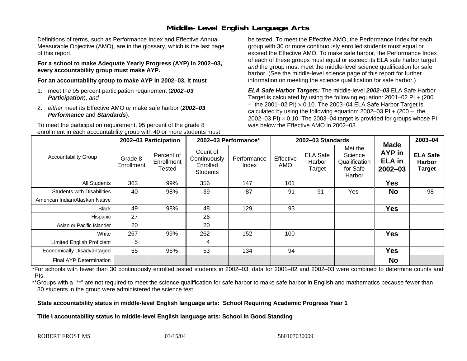# **Middle-Level English Language Arts**

Definitions of terms, such as Performance Index and Effective Annual Measurable Objective (AMO), are in the glossary, which is the last page of this report.

**For a school to make Adequate Yearly Progress (AYP) in 2002–03, every accountability group must make AYP.** 

**For an accountability group to make AYP in 2002–03, it must** 

- 1. meet the 95 percent participation requirement (*2002–03 Participation*), *and*
- 2. *either* meet its Effective AMO *or* make safe harbor (*2002–03 Performance* and *Standards*).

To meet the participation requirement, 95 percent of the grade 8 enrollment in each accountability group with 40 or more students must

be tested. To meet the Effective AMO, the Performance Index for each group with 30 or more continuously enrolled students must equal or exceed the Effective AMO. To make safe harbor, the Performance Index of each of these groups must equal or exceed its ELA safe harbor target *and* the group must meet the middle-level science qualification for safe harbor. (See the middle-level science page of this report for further information on meeting the science qualification for safe harbor.)

*ELA Safe Harbor Targets:* The middle-level *2002–03* ELA Safe Harbor Target is calculated by using the following equation: 2001–02 PI + (200  $-$  the 2001–02 PI)  $\times$  0.10. The 2003–04 ELA Safe Harbor Target is  $\,$ calculated by using the following equation:  $2002-03$  PI +  $(200 -$  the 2002–03 PI)  $\times$  0.10. The 2003–04 target is provided for groups whose PI was below the Effective AMO in 2002–03.

| <b>Accountability Group</b>       | 2002-03 Participation |                                    | 2002-03 Performance*                                    |                      | 2002-03 Standards       |                                     |                                                           |                                                       | 2003-04                                    |
|-----------------------------------|-----------------------|------------------------------------|---------------------------------------------------------|----------------------|-------------------------|-------------------------------------|-----------------------------------------------------------|-------------------------------------------------------|--------------------------------------------|
|                                   | Grade 8<br>Enrollment | Percent of<br>Enrollment<br>Tested | Count of<br>Continuously<br>Enrolled<br><b>Students</b> | Performance<br>Index | Effective<br><b>AMO</b> | <b>ELA Safe</b><br>Harbor<br>Target | Met the<br>Science<br>Qualification<br>for Safe<br>Harbor | <b>Made</b><br>AYP in<br><b>ELA</b> in<br>$2002 - 03$ | <b>ELA Safe</b><br><b>Harbor</b><br>Target |
| All Students                      | 363                   | 99%                                | 356                                                     | 147                  | 101                     |                                     |                                                           | <b>Yes</b>                                            |                                            |
| <b>Students with Disabilities</b> | 40                    | 98%                                | 39                                                      | 87                   | 91                      | 91                                  | Yes                                                       | <b>No</b>                                             | 98                                         |
| American Indian/Alaskan Native    |                       |                                    |                                                         |                      |                         |                                     |                                                           |                                                       |                                            |
| <b>Black</b>                      | 49                    | 98%                                | 48                                                      | 129                  | 93                      |                                     |                                                           | <b>Yes</b>                                            |                                            |
| Hispanic                          | 27                    |                                    | 26                                                      |                      |                         |                                     |                                                           |                                                       |                                            |
| Asian or Pacific Islander         | 20                    |                                    | 20                                                      |                      |                         |                                     |                                                           |                                                       |                                            |
| White                             | 267                   | 99%                                | 262                                                     | 152                  | 100                     |                                     |                                                           | <b>Yes</b>                                            |                                            |
| Limited English Proficient        | 5                     |                                    | 4                                                       |                      |                         |                                     |                                                           |                                                       |                                            |
| Economically Disadvantaged        | 55                    | 96%                                | 53                                                      | 134                  | 94                      |                                     |                                                           | <b>Yes</b>                                            |                                            |
| <b>Final AYP Determination</b>    |                       |                                    |                                                         |                      |                         |                                     |                                                           | <b>No</b>                                             |                                            |

\*For schools with fewer than 30 continuously enrolled tested students in 2002–03, data for 2001–02 and 2002–03 were combined to determine counts and PIs.

\*\*Groups with a "\*\*" are not required to meet the science qualification for safe harbor to make safe harbor in English and mathematics because fewer than 30 students in the group were administered the science test.

**State accountability status in middle-level English language arts: School Requiring Academic Progress Year 1** 

Title I accountability status in middle-level English language arts: School in Good Standing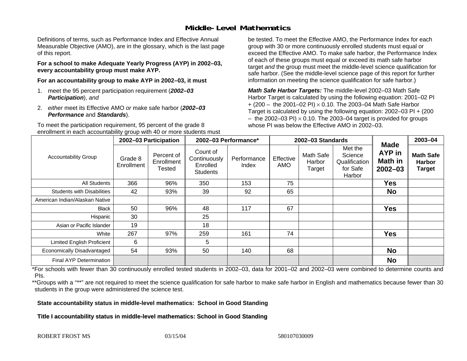# **Middle-Level Mathematics**

Definitions of terms, such as Performance Index and Effective Annual Measurable Objective (AMO), are in the glossary, which is the last page of this report.

**For a school to make Adequate Yearly Progress (AYP) in 2002–03, every accountability group must make AYP.** 

**For an accountability group to make AYP in 2002–03, it must** 

- 1. meet the 95 percent participation requirement (*2002–03 Participation*), *and*
- 2. *either* meet its Effective AMO *or* make safe harbor (*2002–03 Performance* and *Standards*).

To meet the participation requirement, 95 percent of the grade 8 enrollment in each accountability group with 40 or more students must

be tested. To meet the Effective AMO, the Performance Index for each group with 30 or more continuously enrolled students must equal or exceed the Effective AMO. To make safe harbor, the Performance Index of each of these groups must equal or exceed its math safe harbor target *and* the group must meet the middle-level science qualification for safe harbor. (See the middle-level science page of this report for further information on meeting the science qualification for safe harbor.)

*Math Safe Harbor Targets:* The middle-level 2002–03 Math Safe Harbor Target is calculated by using the following equation: 2001–02 PI + (200 – the 2001–02 PI) × 0.10. The 2003–04 Math Safe Harbor Target is calculated by using the following equation: 2002–03 PI + (200  $-$  the 2002–03 PI)  $\times$  0.10. The 2003–04 target is provided for groups whose PI was below the Effective AMO in 2002–03

| <b>Accountability Group</b>       | 2002-03 Participation |                                           | 2002-03 Performance*                                    |                      | 2002-03 Standards       |                               |                                                           |                                                        | 2003-04                                            |
|-----------------------------------|-----------------------|-------------------------------------------|---------------------------------------------------------|----------------------|-------------------------|-------------------------------|-----------------------------------------------------------|--------------------------------------------------------|----------------------------------------------------|
|                                   | Grade 8<br>Enrollment | Percent of<br>Enrollment<br><b>Tested</b> | Count of<br>Continuously<br>Enrolled<br><b>Students</b> | Performance<br>Index | Effective<br><b>AMO</b> | Math Safe<br>Harbor<br>Target | Met the<br>Science<br>Qualification<br>for Safe<br>Harbor | <b>Made</b><br><b>AYP</b> in<br>Math in<br>$2002 - 03$ | <b>Math Safe</b><br><b>Harbor</b><br><b>Target</b> |
| All Students                      | 366                   | 96%                                       | 350                                                     | 153                  | 75                      |                               |                                                           | Yes                                                    |                                                    |
| <b>Students with Disabilities</b> | 42                    | 93%                                       | 39                                                      | 92                   | 65                      |                               |                                                           | <b>No</b>                                              |                                                    |
| American Indian/Alaskan Native    |                       |                                           |                                                         |                      |                         |                               |                                                           |                                                        |                                                    |
| <b>Black</b>                      | 50                    | 96%                                       | 48                                                      | 117                  | 67                      |                               |                                                           | <b>Yes</b>                                             |                                                    |
| Hispanic                          | 30                    |                                           | 25                                                      |                      |                         |                               |                                                           |                                                        |                                                    |
| Asian or Pacific Islander         | 19                    |                                           | 18                                                      |                      |                         |                               |                                                           |                                                        |                                                    |
| White                             | 267                   | 97%                                       | 259                                                     | 161                  | 74                      |                               |                                                           | <b>Yes</b>                                             |                                                    |
| <b>Limited English Proficient</b> | 6                     |                                           | 5                                                       |                      |                         |                               |                                                           |                                                        |                                                    |
| Economically Disadvantaged        | 54                    | 93%                                       | 50                                                      | 140                  | 68                      |                               |                                                           | <b>No</b>                                              |                                                    |
| <b>Final AYP Determination</b>    |                       |                                           |                                                         |                      |                         |                               |                                                           | <b>No</b>                                              |                                                    |

\*For schools with fewer than 30 continuously enrolled tested students in 2002–03, data for 2001–02 and 2002–03 were combined to determine counts and PIs.

\*\*Groups with a "\*\*" are not required to meet the science qualification for safe harbor to make safe harbor in English and mathematics because fewer than 30 students in the group were administered the science test.

**State accountability status in middle-level mathematics: School in Good Standing** 

Title I accountability status in middle-level mathematics: School in Good Standing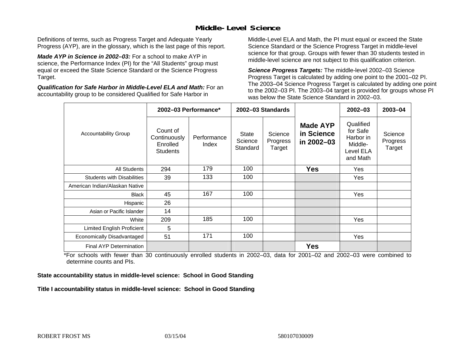# **Middle-Level Science**

Definitions of terms, such as Progress Target and Adequate Yearly Progress (AYP), are in the glossary, which is the last page of this report.

*Made AYP in Science in 2002–03:* For a school to make AYP in science, the Performance Index (PI) for the "All Students" group must equal or exceed the State Science Standard or the Science Progress Target.

*Qualification for Safe Harbor in Middle-Level ELA and Math:* For an accountability group to be considered Qualified for Safe Harbor in

Middle-Level ELA and Math, the PI must equal or exceed the State Science Standard or the Science Progress Target in middle-level science for that group. Groups with fewer than 30 students tested in middle-level science are not subject to this qualification criterion.

*Science Progress Targets:* The middle-level 2002–03 Science Progress Target is calculated by adding one point to the 2001–02 PI. The 2003–04 Science Progress Target is calculated by adding one point to the 2002–03 PI. The 2003–04 target is provided for groups whose PI was below the State Science Standard in 2002–03.

|                                   |                                                         | 2002-03 Performance* |                                     | 2002-03 Standards             |                                             | $2002 - 03$                                                            | $2003 - 04$                   |
|-----------------------------------|---------------------------------------------------------|----------------------|-------------------------------------|-------------------------------|---------------------------------------------|------------------------------------------------------------------------|-------------------------------|
| <b>Accountability Group</b>       | Count of<br>Continuously<br>Enrolled<br><b>Students</b> | Performance<br>Index | <b>State</b><br>Science<br>Standard | Science<br>Progress<br>Target | <b>Made AYP</b><br>in Science<br>in 2002-03 | Qualified<br>for Safe<br>Harbor in<br>Middle-<br>Level ELA<br>and Math | Science<br>Progress<br>Target |
| <b>All Students</b>               | 294                                                     | 179                  | 100                                 |                               | <b>Yes</b>                                  | Yes                                                                    |                               |
| <b>Students with Disabilities</b> | 39                                                      | 133                  | 100                                 |                               |                                             | Yes                                                                    |                               |
| American Indian/Alaskan Native    |                                                         |                      |                                     |                               |                                             |                                                                        |                               |
| <b>Black</b>                      | 45                                                      | 167                  | 100                                 |                               |                                             | Yes                                                                    |                               |
| Hispanic                          | 26                                                      |                      |                                     |                               |                                             |                                                                        |                               |
| Asian or Pacific Islander         | 14                                                      |                      |                                     |                               |                                             |                                                                        |                               |
| White                             | 209                                                     | 185                  | 100                                 |                               |                                             | Yes                                                                    |                               |
| Limited English Proficient        | 5                                                       |                      |                                     |                               |                                             |                                                                        |                               |
| Economically Disadvantaged        | 51                                                      | 171                  | 100                                 |                               |                                             | Yes                                                                    |                               |
| <b>Final AYP Determination</b>    |                                                         |                      |                                     |                               | <b>Yes</b>                                  |                                                                        |                               |

\*For schools with fewer than 30 continuously enrolled students in 2002–03, data for 2001–02 and 2002–03 were combined to determine counts and PIs.

**State accountability status in middle-level science: School in Good Standing** 

Title I accountability status in middle-level science: School in Good Standing